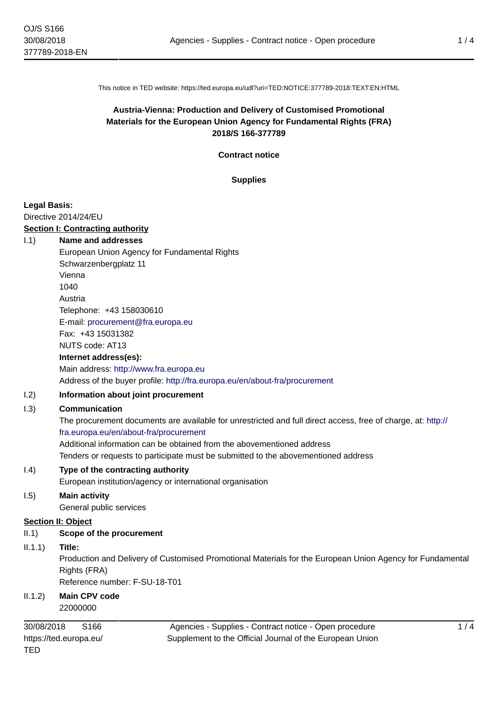This notice in TED website: https://ted.europa.eu/udl?uri=TED:NOTICE:377789-2018:TEXT:EN:HTML

# **Austria-Vienna: Production and Delivery of Customised Promotional Materials for the European Union Agency for Fundamental Rights (FRA) 2018/S 166-377789**

#### **Contract notice**

#### **Supplies**

#### **Legal Basis:**

#### Directive 2014/24/EU

#### **Section I: Contracting authority**

#### I.1) **Name and addresses**

European Union Agency for Fundamental Rights Schwarzenbergplatz 11 Vienna 1040 Austria Telephone: +43 158030610 E-mail: [procurement@fra.europa.eu](mailto:procurement@fra.europa.eu)  Fax: +43 15031382 NUTS code: AT13 **Internet address(es):** Main address:<http://www.fra.europa.eu>

#### Address of the buyer profile: <http://fra.europa.eu/en/about-fra/procurement>

## I.2) **Information about joint procurement**

## I.3) **Communication**

The procurement documents are available for unrestricted and full direct access, free of charge, at: [http://](http://fra.europa.eu/en/about-fra/procurement) [fra.europa.eu/en/about-fra/procurement](http://fra.europa.eu/en/about-fra/procurement) Additional information can be obtained from the abovementioned address Tenders or requests to participate must be submitted to the abovementioned address

## I.4) **Type of the contracting authority**

European institution/agency or international organisation

# I.5) **Main activity**

General public services

# **Section II: Object**

# II.1) **Scope of the procurement**

# II.1.1) **Title:**

Production and Delivery of Customised Promotional Materials for the European Union Agency for Fundamental Rights (FRA) Reference number: F-SU-18-T01

# II.1.2) **Main CPV code**

22000000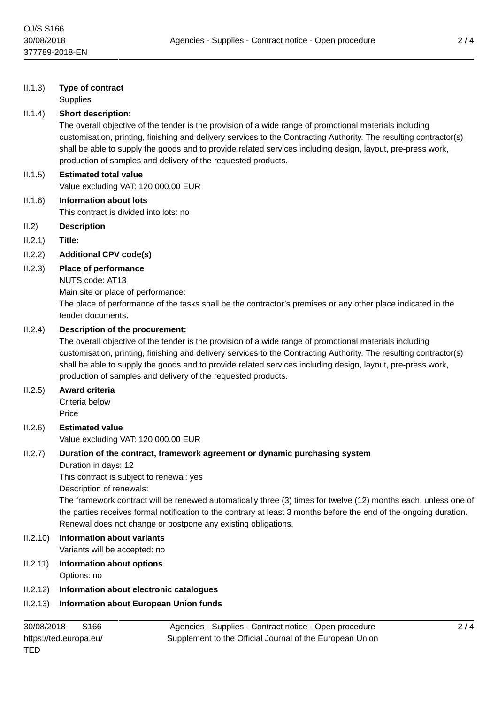## II.1.3) **Type of contract**

**Supplies** 

#### II.1.4) **Short description:**

The overall objective of the tender is the provision of a wide range of promotional materials including customisation, printing, finishing and delivery services to the Contracting Authority. The resulting contractor(s) shall be able to supply the goods and to provide related services including design, layout, pre-press work, production of samples and delivery of the requested products.

# II.1.5) **Estimated total value** Value excluding VAT: 120 000.00 EUR

II.1.6) **Information about lots** This contract is divided into lots: no

- II.2) **Description**
- II.2.1) **Title:**

## II.2.2) **Additional CPV code(s)**

## II.2.3) **Place of performance**

NUTS code: AT13

Main site or place of performance:

The place of performance of the tasks shall be the contractor's premises or any other place indicated in the tender documents.

#### II.2.4) **Description of the procurement:**

The overall objective of the tender is the provision of a wide range of promotional materials including customisation, printing, finishing and delivery services to the Contracting Authority. The resulting contractor(s) shall be able to supply the goods and to provide related services including design, layout, pre-press work, production of samples and delivery of the requested products.

#### II.2.5) **Award criteria**

Criteria below **Price** 

#### II.2.6) **Estimated value** Value excluding VAT: 120 000.00 EUR

II.2.7) **Duration of the contract, framework agreement or dynamic purchasing system**

Duration in days: 12

This contract is subject to renewal: yes

Description of renewals:

The framework contract will be renewed automatically three (3) times for twelve (12) months each, unless one of the parties receives formal notification to the contrary at least 3 months before the end of the ongoing duration. Renewal does not change or postpone any existing obligations.

#### II.2.10) **Information about variants** Variants will be accepted: no

## II.2.11) **Information about options** Options: no

II.2.12) **Information about electronic catalogues**

## II.2.13) **Information about European Union funds**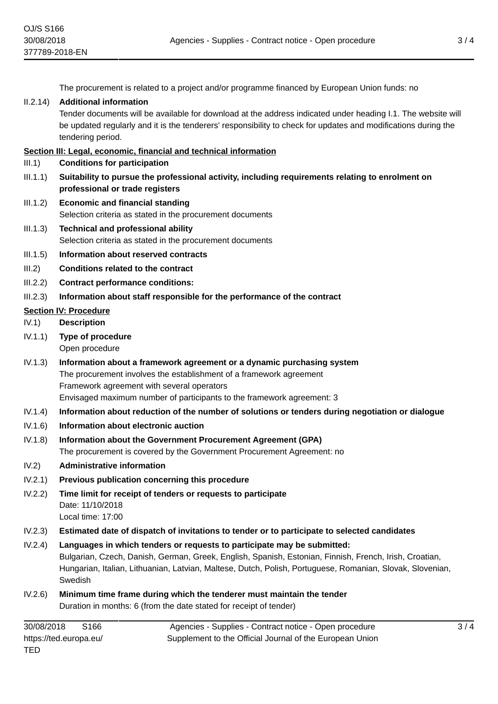The procurement is related to a project and/or programme financed by European Union funds: no

#### II.2.14) **Additional information**

Tender documents will be available for download at the address indicated under heading I.1. The website will be updated regularly and it is the tenderers' responsibility to check for updates and modifications during the tendering period.

#### **Section III: Legal, economic, financial and technical information**

- III.1) **Conditions for participation**
- III.1.1) **Suitability to pursue the professional activity, including requirements relating to enrolment on professional or trade registers**
- III.1.2) **Economic and financial standing** Selection criteria as stated in the procurement documents
- III.1.3) **Technical and professional ability** Selection criteria as stated in the procurement documents
- III.1.5) **Information about reserved contracts**
- III.2) **Conditions related to the contract**
- III.2.2) **Contract performance conditions:**
- III.2.3) **Information about staff responsible for the performance of the contract**

## **Section IV: Procedure**

- IV.1) **Description**
- IV.1.1) **Type of procedure** Open procedure
- IV.1.3) **Information about a framework agreement or a dynamic purchasing system** The procurement involves the establishment of a framework agreement Framework agreement with several operators Envisaged maximum number of participants to the framework agreement: 3
- IV.1.4) **Information about reduction of the number of solutions or tenders during negotiation or dialogue**
- IV.1.6) **Information about electronic auction**
- IV.1.8) **Information about the Government Procurement Agreement (GPA)** The procurement is covered by the Government Procurement Agreement: no
- IV.2) **Administrative information**
- IV.2.1) **Previous publication concerning this procedure**
- IV.2.2) **Time limit for receipt of tenders or requests to participate** Date: 11/10/2018 Local time: 17:00
- IV.2.3) **Estimated date of dispatch of invitations to tender or to participate to selected candidates**
- IV.2.4) **Languages in which tenders or requests to participate may be submitted:** Bulgarian, Czech, Danish, German, Greek, English, Spanish, Estonian, Finnish, French, Irish, Croatian, Hungarian, Italian, Lithuanian, Latvian, Maltese, Dutch, Polish, Portuguese, Romanian, Slovak, Slovenian, Swedish
- IV.2.6) **Minimum time frame during which the tenderer must maintain the tender** Duration in months: 6 (from the date stated for receipt of tender)